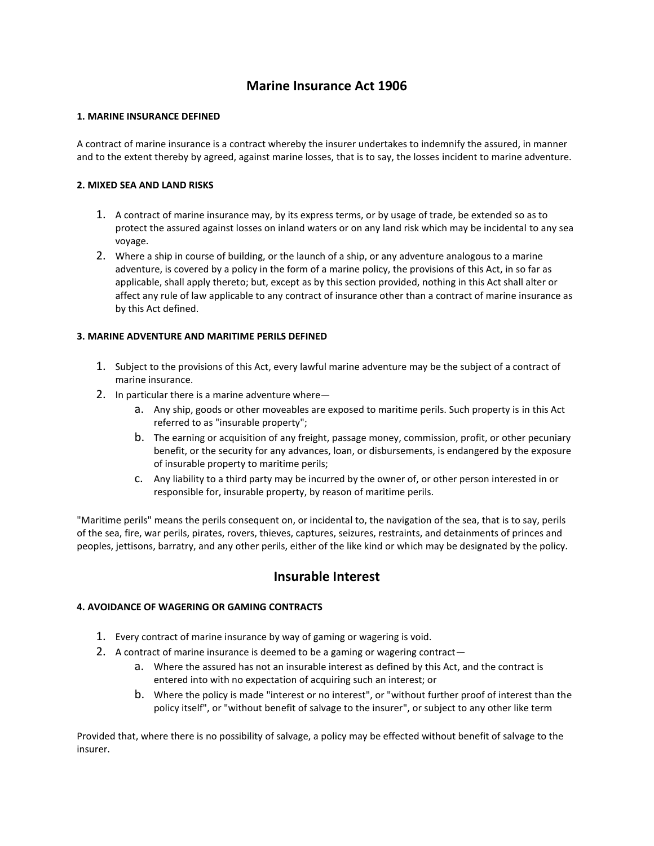# **Marine Insurance Act 1906**

## **1. MARINE INSURANCE DEFINED**

A contract of marine insurance is a contract whereby the insurer undertakes to indemnify the assured, in manner and to the extent thereby by agreed, against marine losses, that is to say, the losses incident to marine adventure.

## **2. MIXED SEA AND LAND RISKS**

- 1. A contract of marine insurance may, by its express terms, or by usage of trade, be extended so as to protect the assured against losses on inland waters or on any land risk which may be incidental to any sea voyage.
- 2. Where a ship in course of building, or the launch of a ship, or any adventure analogous to a marine adventure, is covered by a policy in the form of a marine policy, the provisions of this Act, in so far as applicable, shall apply thereto; but, except as by this section provided, nothing in this Act shall alter or affect any rule of law applicable to any contract of insurance other than a contract of marine insurance as by this Act defined.

## **3. MARINE ADVENTURE AND MARITIME PERILS DEFINED**

- 1. Subject to the provisions of this Act, every lawful marine adventure may be the subject of a contract of marine insurance.
- 2. In particular there is a marine adventure where
	- a. Any ship, goods or other moveables are exposed to maritime perils. Such property is in this Act referred to as "insurable property";
	- b. The earning or acquisition of any freight, passage money, commission, profit, or other pecuniary benefit, or the security for any advances, loan, or disbursements, is endangered by the exposure of insurable property to maritime perils;
	- c. Any liability to a third party may be incurred by the owner of, or other person interested in or responsible for, insurable property, by reason of maritime perils.

"Maritime perils" means the perils consequent on, or incidental to, the navigation of the sea, that is to say, perils of the sea, fire, war perils, pirates, rovers, thieves, captures, seizures, restraints, and detainments of princes and peoples, jettisons, barratry, and any other perils, either of the like kind or which may be designated by the policy.

## **Insurable Interest**

## **4. AVOIDANCE OF WAGERING OR GAMING CONTRACTS**

- 1. Every contract of marine insurance by way of gaming or wagering is void.
- 2. A contract of marine insurance is deemed to be a gaming or wagering contract
	- a. Where the assured has not an insurable interest as defined by this Act, and the contract is entered into with no expectation of acquiring such an interest; or
	- b. Where the policy is made "interest or no interest", or "without further proof of interest than the policy itself", or "without benefit of salvage to the insurer", or subject to any other like term

Provided that, where there is no possibility of salvage, a policy may be effected without benefit of salvage to the insurer.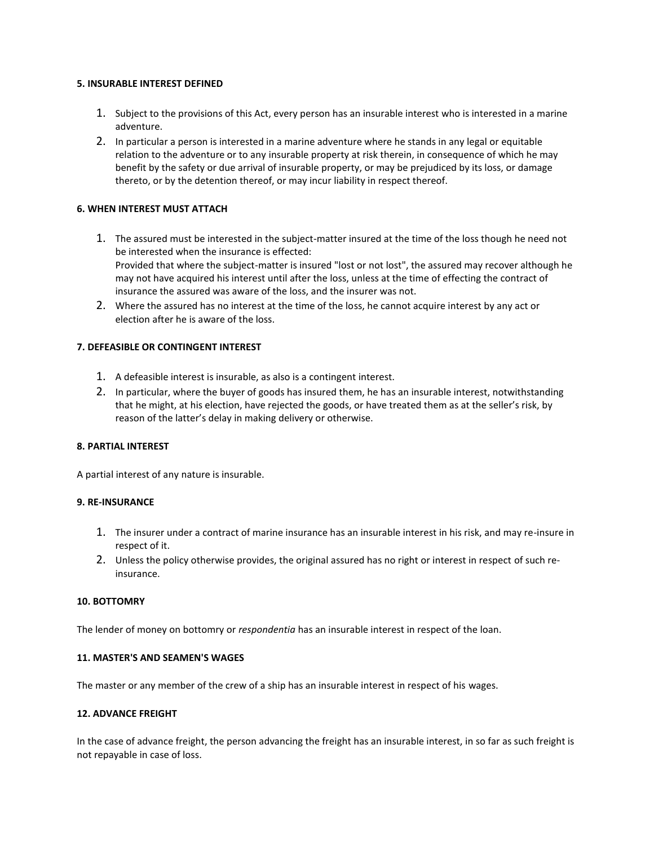#### **5. INSURABLE INTEREST DEFINED**

- 1. Subject to the provisions of this Act, every person has an insurable interest who is interested in a marine adventure.
- 2. In particular a person is interested in a marine adventure where he stands in any legal or equitable relation to the adventure or to any insurable property at risk therein, in consequence of which he may benefit by the safety or due arrival of insurable property, or may be prejudiced by its loss, or damage thereto, or by the detention thereof, or may incur liability in respect thereof.

#### **6. WHEN INTEREST MUST ATTACH**

- 1. The assured must be interested in the subject-matter insured at the time of the loss though he need not be interested when the insurance is effected: Provided that where the subject-matter is insured "lost or not lost", the assured may recover although he may not have acquired his interest until after the loss, unless at the time of effecting the contract of insurance the assured was aware of the loss, and the insurer was not.
- 2. Where the assured has no interest at the time of the loss, he cannot acquire interest by any act or election after he is aware of the loss.

#### **7. DEFEASIBLE OR CONTINGENT INTEREST**

- 1. A defeasible interest is insurable, as also is a contingent interest.
- 2. In particular, where the buyer of goods has insured them, he has an insurable interest, notwithstanding that he might, at his election, have rejected the goods, or have treated them as at the seller's risk, by reason of the latter's delay in making delivery or otherwise.

#### **8. PARTIAL INTEREST**

A partial interest of any nature is insurable.

#### **9. RE-INSURANCE**

- 1. The insurer under a contract of marine insurance has an insurable interest in his risk, and may re-insure in respect of it.
- 2. Unless the policy otherwise provides, the original assured has no right or interest in respect of such reinsurance.

#### **10. BOTTOMRY**

The lender of money on bottomry or *respondentia* has an insurable interest in respect of the loan.

#### **11. MASTER'S AND SEAMEN'S WAGES**

The master or any member of the crew of a ship has an insurable interest in respect of his wages.

#### **12. ADVANCE FREIGHT**

In the case of advance freight, the person advancing the freight has an insurable interest, in so far as such freight is not repayable in case of loss.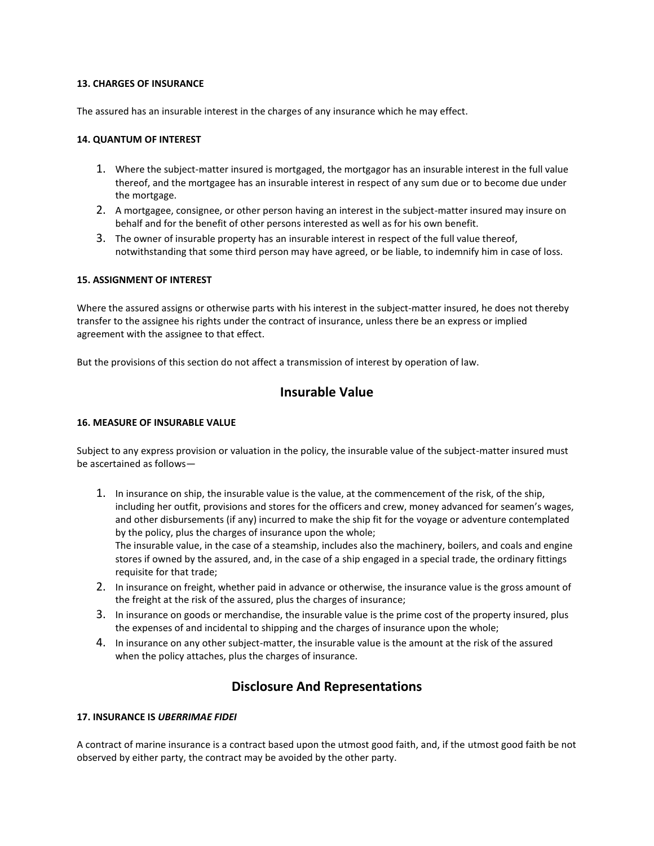#### **13. CHARGES OF INSURANCE**

The assured has an insurable interest in the charges of any insurance which he may effect.

#### **14. QUANTUM OF INTEREST**

- 1. Where the subject-matter insured is mortgaged, the mortgagor has an insurable interest in the full value thereof, and the mortgagee has an insurable interest in respect of any sum due or to become due under the mortgage.
- 2. A mortgagee, consignee, or other person having an interest in the subject-matter insured may insure on behalf and for the benefit of other persons interested as well as for his own benefit.
- 3. The owner of insurable property has an insurable interest in respect of the full value thereof, notwithstanding that some third person may have agreed, or be liable, to indemnify him in case of loss.

#### **15. ASSIGNMENT OF INTEREST**

Where the assured assigns or otherwise parts with his interest in the subject-matter insured, he does not thereby transfer to the assignee his rights under the contract of insurance, unless there be an express or implied agreement with the assignee to that effect.

But the provisions of this section do not affect a transmission of interest by operation of law.

## **Insurable Value**

#### **16. MEASURE OF INSURABLE VALUE**

Subject to any express provision or valuation in the policy, the insurable value of the subject-matter insured must be ascertained as follows—

1. In insurance on ship, the insurable value is the value, at the commencement of the risk, of the ship, including her outfit, provisions and stores for the officers and crew, money advanced for seamen's wages, and other disbursements (if any) incurred to make the ship fit for the voyage or adventure contemplated by the policy, plus the charges of insurance upon the whole;

The insurable value, in the case of a steamship, includes also the machinery, boilers, and coals and engine stores if owned by the assured, and, in the case of a ship engaged in a special trade, the ordinary fittings requisite for that trade;

- 2. In insurance on freight, whether paid in advance or otherwise, the insurance value is the gross amount of the freight at the risk of the assured, plus the charges of insurance;
- 3. In insurance on goods or merchandise, the insurable value is the prime cost of the property insured, plus the expenses of and incidental to shipping and the charges of insurance upon the whole;
- 4. In insurance on any other subject-matter, the insurable value is the amount at the risk of the assured when the policy attaches, plus the charges of insurance.

## **Disclosure And Representations**

#### **17. INSURANCE IS** *UBERRIMAE FIDEI*

A contract of marine insurance is a contract based upon the utmost good faith, and, if the utmost good faith be not observed by either party, the contract may be avoided by the other party.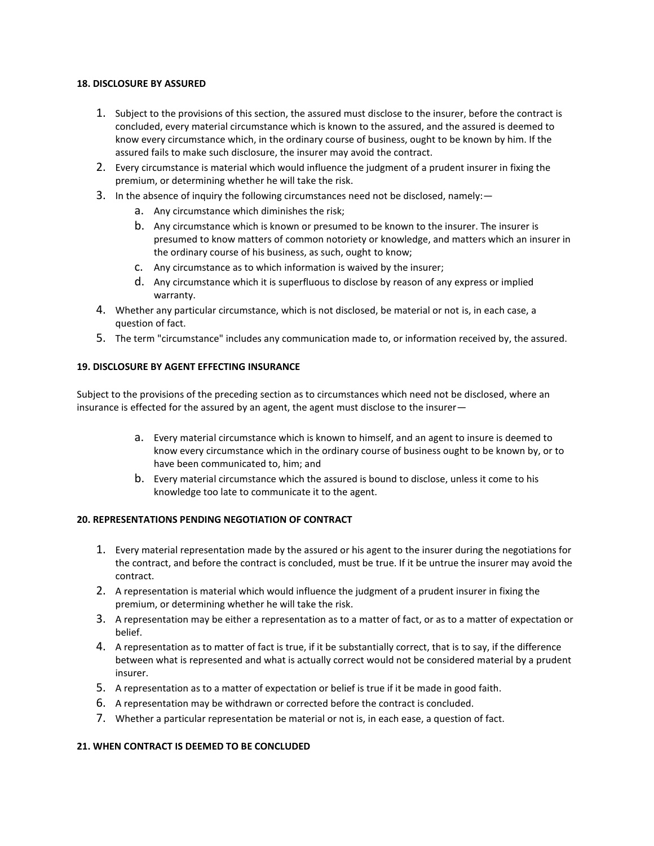#### **18. DISCLOSURE BY ASSURED**

- 1. Subject to the provisions of this section, the assured must disclose to the insurer, before the contract is concluded, every material circumstance which is known to the assured, and the assured is deemed to know every circumstance which, in the ordinary course of business, ought to be known by him. If the assured fails to make such disclosure, the insurer may avoid the contract.
- 2. Every circumstance is material which would influence the judgment of a prudent insurer in fixing the premium, or determining whether he will take the risk.
- 3. In the absence of inquiry the following circumstances need not be disclosed, namely:
	- a. Any circumstance which diminishes the risk;
	- b. Any circumstance which is known or presumed to be known to the insurer. The insurer is presumed to know matters of common notoriety or knowledge, and matters which an insurer in the ordinary course of his business, as such, ought to know;
	- c. Any circumstance as to which information is waived by the insurer;
	- d. Any circumstance which it is superfluous to disclose by reason of any express or implied warranty.
- 4. Whether any particular circumstance, which is not disclosed, be material or not is, in each case, a question of fact.
- 5. The term "circumstance" includes any communication made to, or information received by, the assured.

## **19. DISCLOSURE BY AGENT EFFECTING INSURANCE**

Subject to the provisions of the preceding section as to circumstances which need not be disclosed, where an insurance is effected for the assured by an agent, the agent must disclose to the insurer—

- a. Every material circumstance which is known to himself, and an agent to insure is deemed to know every circumstance which in the ordinary course of business ought to be known by, or to have been communicated to, him; and
- b. Every material circumstance which the assured is bound to disclose, unless it come to his knowledge too late to communicate it to the agent.

## **20. REPRESENTATIONS PENDING NEGOTIATION OF CONTRACT**

- 1. Every material representation made by the assured or his agent to the insurer during the negotiations for the contract, and before the contract is concluded, must be true. If it be untrue the insurer may avoid the contract.
- 2. A representation is material which would influence the judgment of a prudent insurer in fixing the premium, or determining whether he will take the risk.
- 3. A representation may be either a representation as to a matter of fact, or as to a matter of expectation or belief.
- 4. A representation as to matter of fact is true, if it be substantially correct, that is to say, if the difference between what is represented and what is actually correct would not be considered material by a prudent insurer.
- 5. A representation as to a matter of expectation or belief is true if it be made in good faith.
- 6. A representation may be withdrawn or corrected before the contract is concluded.
- 7. Whether a particular representation be material or not is, in each ease, a question of fact.

## **21. WHEN CONTRACT IS DEEMED TO BE CONCLUDED**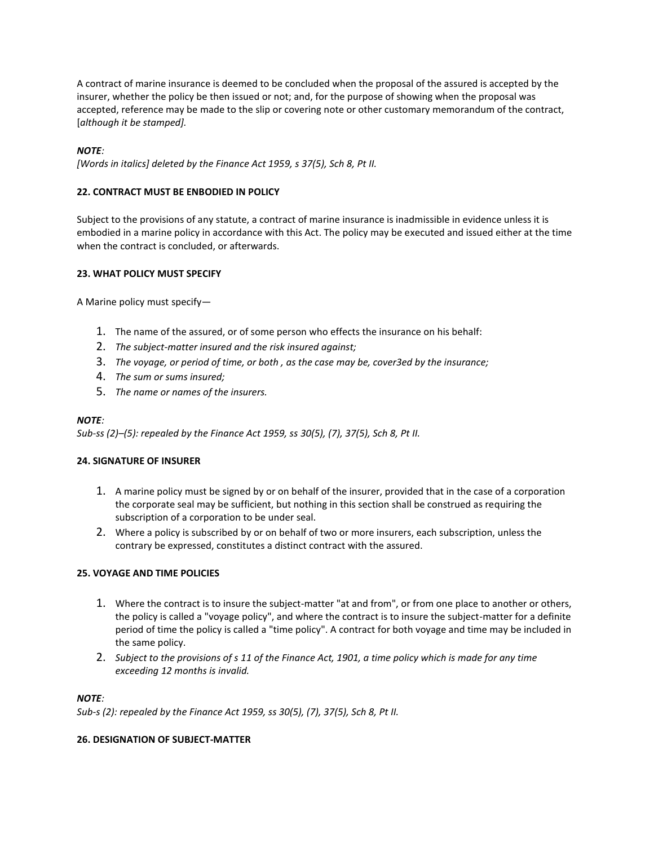A contract of marine insurance is deemed to be concluded when the proposal of the assured is accepted by the insurer, whether the policy be then issued or not; and, for the purpose of showing when the proposal was accepted, reference may be made to the slip or covering note or other customary memorandum of the contract, [*although it be stamped].*

## *NOTE:*

*[Words in italics] deleted by the Finance Act 1959, s 37(5), Sch 8, Pt II.*

## **22. CONTRACT MUST BE ENBODIED IN POLICY**

Subject to the provisions of any statute, a contract of marine insurance is inadmissible in evidence unless it is embodied in a marine policy in accordance with this Act. The policy may be executed and issued either at the time when the contract is concluded, or afterwards.

#### **23. WHAT POLICY MUST SPECIFY**

A Marine policy must specify—

- 1. The name of the assured, or of some person who effects the insurance on his behalf:
- 2. *The subject-matter insured and the risk insured against;*
- 3. *The voyage, or period of time, or both , as the case may be, cover3ed by the insurance;*
- 4. *The sum or sums insured;*
- 5. *The name or names of the insurers.*

#### *NOTE:*

*Sub-ss (2)–(5): repealed by the Finance Act 1959, ss 30(5), (7), 37(5), Sch 8, Pt II.*

#### **24. SIGNATURE OF INSURER**

- 1. A marine policy must be signed by or on behalf of the insurer, provided that in the case of a corporation the corporate seal may be sufficient, but nothing in this section shall be construed as requiring the subscription of a corporation to be under seal.
- 2. Where a policy is subscribed by or on behalf of two or more insurers, each subscription, unless the contrary be expressed, constitutes a distinct contract with the assured.

#### **25. VOYAGE AND TIME POLICIES**

- 1. Where the contract is to insure the subject-matter "at and from", or from one place to another or others, the policy is called a "voyage policy", and where the contract is to insure the subject-matter for a definite period of time the policy is called a "time policy". A contract for both voyage and time may be included in the same policy.
- 2. *Subject to the provisions of s 11 of the Finance Act, 1901, a time policy which is made for any time exceeding 12 months is invalid.*

#### *NOTE:*

*Sub-s (2): repealed by the Finance Act 1959, ss 30(5), (7), 37(5), Sch 8, Pt II.*

#### **26. DESIGNATION OF SUBJECT-MATTER**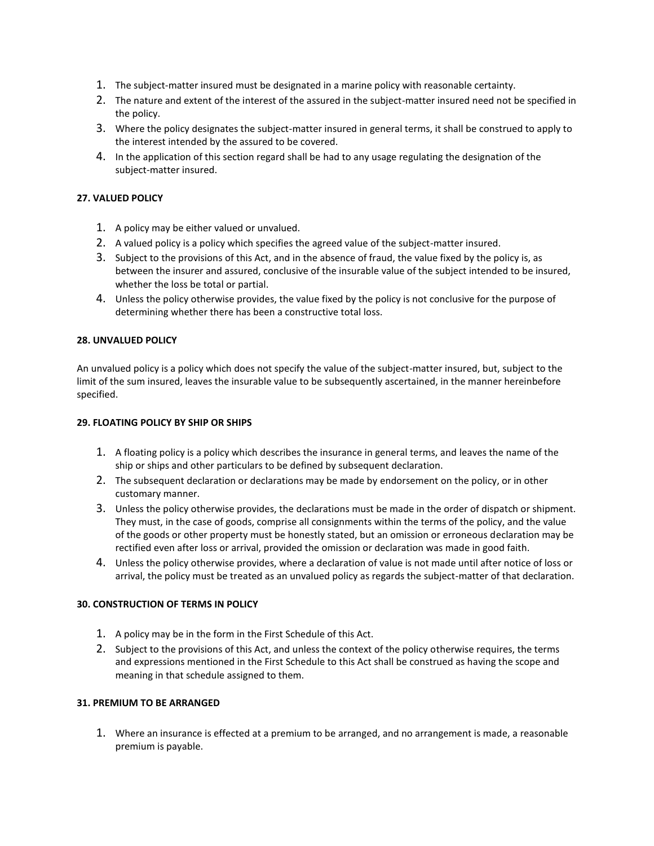- 1. The subject-matter insured must be designated in a marine policy with reasonable certainty.
- 2. The nature and extent of the interest of the assured in the subject-matter insured need not be specified in the policy.
- 3. Where the policy designates the subject-matter insured in general terms, it shall be construed to apply to the interest intended by the assured to be covered.
- 4. In the application of this section regard shall be had to any usage regulating the designation of the subject-matter insured.

#### **27. VALUED POLICY**

- 1. A policy may be either valued or unvalued.
- 2. A valued policy is a policy which specifies the agreed value of the subject-matter insured.
- 3. Subject to the provisions of this Act, and in the absence of fraud, the value fixed by the policy is, as between the insurer and assured, conclusive of the insurable value of the subject intended to be insured, whether the loss be total or partial.
- 4. Unless the policy otherwise provides, the value fixed by the policy is not conclusive for the purpose of determining whether there has been a constructive total loss.

#### **28. UNVALUED POLICY**

An unvalued policy is a policy which does not specify the value of the subject-matter insured, but, subject to the limit of the sum insured, leaves the insurable value to be subsequently ascertained, in the manner hereinbefore specified.

#### **29. FLOATING POLICY BY SHIP OR SHIPS**

- 1. A floating policy is a policy which describes the insurance in general terms, and leaves the name of the ship or ships and other particulars to be defined by subsequent declaration.
- 2. The subsequent declaration or declarations may be made by endorsement on the policy, or in other customary manner.
- 3. Unless the policy otherwise provides, the declarations must be made in the order of dispatch or shipment. They must, in the case of goods, comprise all consignments within the terms of the policy, and the value of the goods or other property must be honestly stated, but an omission or erroneous declaration may be rectified even after loss or arrival, provided the omission or declaration was made in good faith.
- 4. Unless the policy otherwise provides, where a declaration of value is not made until after notice of loss or arrival, the policy must be treated as an unvalued policy as regards the subject-matter of that declaration.

#### **30. CONSTRUCTION OF TERMS IN POLICY**

- 1. A policy may be in the form in the First Schedule of this Act.
- 2. Subject to the provisions of this Act, and unless the context of the policy otherwise requires, the terms and expressions mentioned in the First Schedule to this Act shall be construed as having the scope and meaning in that schedule assigned to them.

## **31. PREMIUM TO BE ARRANGED**

1. Where an insurance is effected at a premium to be arranged, and no arrangement is made, a reasonable premium is payable.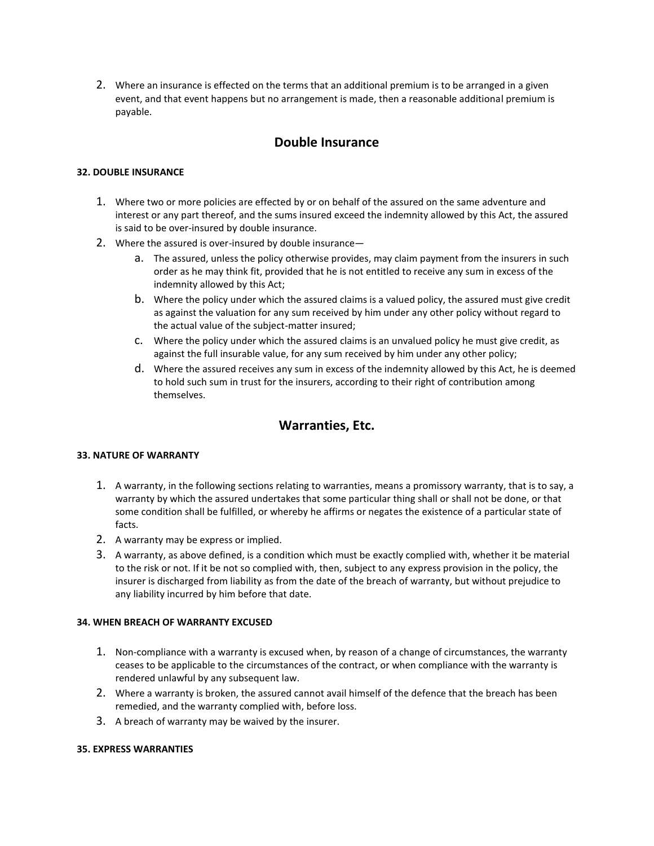2. Where an insurance is effected on the terms that an additional premium is to be arranged in a given event, and that event happens but no arrangement is made, then a reasonable additional premium is payable.

## **Double Insurance**

## **32. DOUBLE INSURANCE**

- 1. Where two or more policies are effected by or on behalf of the assured on the same adventure and interest or any part thereof, and the sums insured exceed the indemnity allowed by this Act, the assured is said to be over-insured by double insurance.
- 2. Where the assured is over-insured by double insurance
	- a. The assured, unless the policy otherwise provides, may claim payment from the insurers in such order as he may think fit, provided that he is not entitled to receive any sum in excess of the indemnity allowed by this Act;
	- b. Where the policy under which the assured claims is a valued policy, the assured must give credit as against the valuation for any sum received by him under any other policy without regard to the actual value of the subject-matter insured;
	- c. Where the policy under which the assured claims is an unvalued policy he must give credit, as against the full insurable value, for any sum received by him under any other policy;
	- d. Where the assured receives any sum in excess of the indemnity allowed by this Act, he is deemed to hold such sum in trust for the insurers, according to their right of contribution among themselves.

## **Warranties, Etc.**

## **33. NATURE OF WARRANTY**

- 1. A warranty, in the following sections relating to warranties, means a promissory warranty, that is to say, a warranty by which the assured undertakes that some particular thing shall or shall not be done, or that some condition shall be fulfilled, or whereby he affirms or negates the existence of a particular state of facts.
- 2. A warranty may be express or implied.
- 3. A warranty, as above defined, is a condition which must be exactly complied with, whether it be material to the risk or not. If it be not so complied with, then, subject to any express provision in the policy, the insurer is discharged from liability as from the date of the breach of warranty, but without prejudice to any liability incurred by him before that date.

## **34. WHEN BREACH OF WARRANTY EXCUSED**

- 1. Non-compliance with a warranty is excused when, by reason of a change of circumstances, the warranty ceases to be applicable to the circumstances of the contract, or when compliance with the warranty is rendered unlawful by any subsequent law.
- 2. Where a warranty is broken, the assured cannot avail himself of the defence that the breach has been remedied, and the warranty complied with, before loss.
- 3. A breach of warranty may be waived by the insurer.

## **35. EXPRESS WARRANTIES**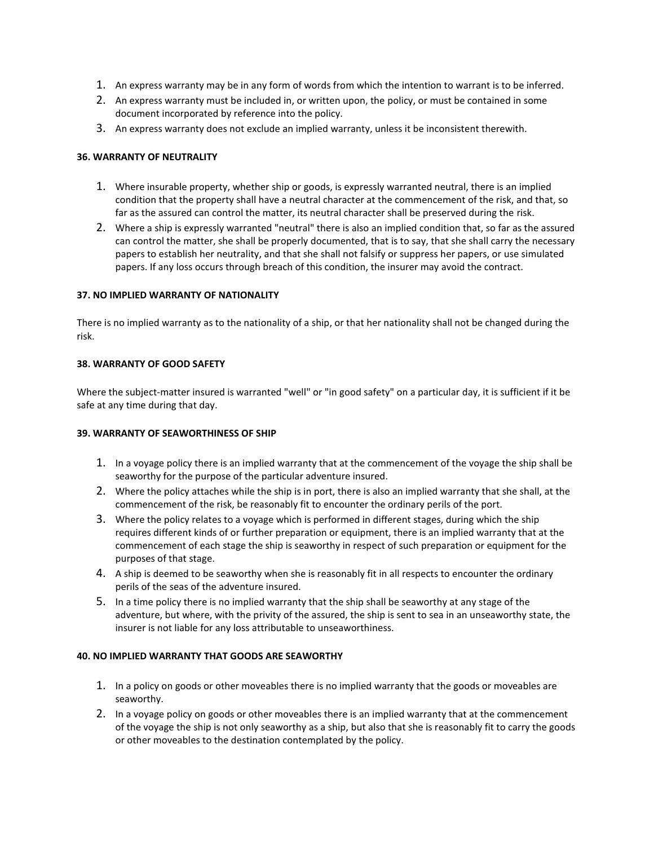- 1. An express warranty may be in any form of words from which the intention to warrant is to be inferred.
- 2. An express warranty must be included in, or written upon, the policy, or must be contained in some document incorporated by reference into the policy.
- 3. An express warranty does not exclude an implied warranty, unless it be inconsistent therewith.

#### **36. WARRANTY OF NEUTRALITY**

- 1. Where insurable property, whether ship or goods, is expressly warranted neutral, there is an implied condition that the property shall have a neutral character at the commencement of the risk, and that, so far as the assured can control the matter, its neutral character shall be preserved during the risk.
- 2. Where a ship is expressly warranted "neutral" there is also an implied condition that, so far as the assured can control the matter, she shall be properly documented, that is to say, that she shall carry the necessary papers to establish her neutrality, and that she shall not falsify or suppress her papers, or use simulated papers. If any loss occurs through breach of this condition, the insurer may avoid the contract.

## **37. NO IMPLIED WARRANTY OF NATIONALITY**

There is no implied warranty as to the nationality of a ship, or that her nationality shall not be changed during the risk.

#### **38. WARRANTY OF GOOD SAFETY**

Where the subject-matter insured is warranted "well" or "in good safety" on a particular day, it is sufficient if it be safe at any time during that day.

#### **39. WARRANTY OF SEAWORTHINESS OF SHIP**

- 1. In a voyage policy there is an implied warranty that at the commencement of the voyage the ship shall be seaworthy for the purpose of the particular adventure insured.
- 2. Where the policy attaches while the ship is in port, there is also an implied warranty that she shall, at the commencement of the risk, be reasonably fit to encounter the ordinary perils of the port.
- 3. Where the policy relates to a voyage which is performed in different stages, during which the ship requires different kinds of or further preparation or equipment, there is an implied warranty that at the commencement of each stage the ship is seaworthy in respect of such preparation or equipment for the purposes of that stage.
- 4. A ship is deemed to be seaworthy when she is reasonably fit in all respects to encounter the ordinary perils of the seas of the adventure insured.
- 5. In a time policy there is no implied warranty that the ship shall be seaworthy at any stage of the adventure, but where, with the privity of the assured, the ship is sent to sea in an unseaworthy state, the insurer is not liable for any loss attributable to unseaworthiness.

## **40. NO IMPLIED WARRANTY THAT GOODS ARE SEAWORTHY**

- 1. In a policy on goods or other moveables there is no implied warranty that the goods or moveables are seaworthy.
- 2. In a voyage policy on goods or other moveables there is an implied warranty that at the commencement of the voyage the ship is not only seaworthy as a ship, but also that she is reasonably fit to carry the goods or other moveables to the destination contemplated by the policy.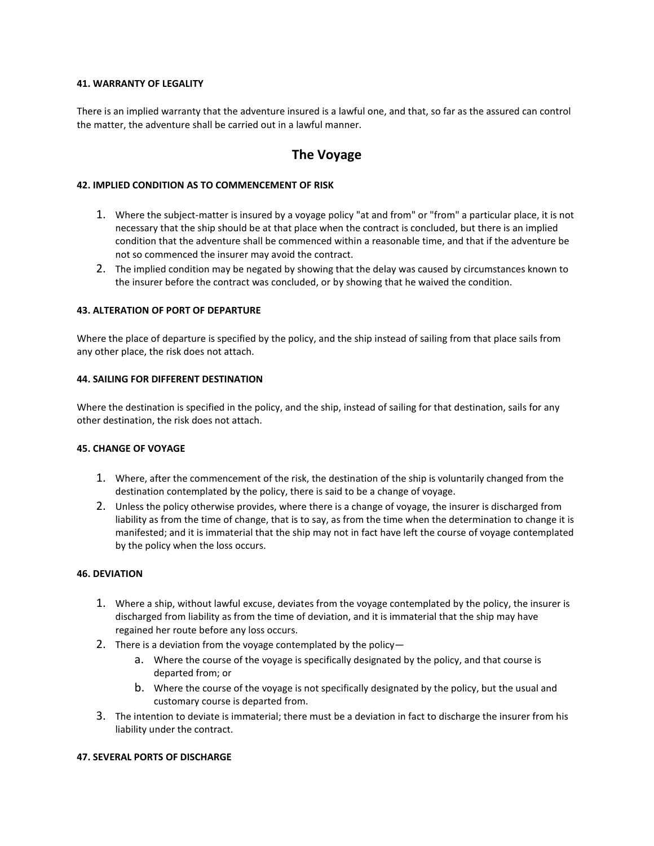#### **41. WARRANTY OF LEGALITY**

There is an implied warranty that the adventure insured is a lawful one, and that, so far as the assured can control the matter, the adventure shall be carried out in a lawful manner.

# **The Voyage**

#### **42. IMPLIED CONDITION AS TO COMMENCEMENT OF RISK**

- 1. Where the subject-matter is insured by a voyage policy "at and from" or "from" a particular place, it is not necessary that the ship should be at that place when the contract is concluded, but there is an implied condition that the adventure shall be commenced within a reasonable time, and that if the adventure be not so commenced the insurer may avoid the contract.
- 2. The implied condition may be negated by showing that the delay was caused by circumstances known to the insurer before the contract was concluded, or by showing that he waived the condition.

#### **43. ALTERATION OF PORT OF DEPARTURE**

Where the place of departure is specified by the policy, and the ship instead of sailing from that place sails from any other place, the risk does not attach.

#### **44. SAILING FOR DIFFERENT DESTINATION**

Where the destination is specified in the policy, and the ship, instead of sailing for that destination, sails for any other destination, the risk does not attach.

#### **45. CHANGE OF VOYAGE**

- 1. Where, after the commencement of the risk, the destination of the ship is voluntarily changed from the destination contemplated by the policy, there is said to be a change of voyage.
- 2. Unless the policy otherwise provides, where there is a change of voyage, the insurer is discharged from liability as from the time of change, that is to say, as from the time when the determination to change it is manifested; and it is immaterial that the ship may not in fact have left the course of voyage contemplated by the policy when the loss occurs.

#### **46. DEVIATION**

- 1. Where a ship, without lawful excuse, deviates from the voyage contemplated by the policy, the insurer is discharged from liability as from the time of deviation, and it is immaterial that the ship may have regained her route before any loss occurs.
- 2. There is a deviation from the voyage contemplated by the policy
	- a. Where the course of the voyage is specifically designated by the policy, and that course is departed from; or
	- b. Where the course of the voyage is not specifically designated by the policy, but the usual and customary course is departed from.
- 3. The intention to deviate is immaterial; there must be a deviation in fact to discharge the insurer from his liability under the contract.

## **47. SEVERAL PORTS OF DISCHARGE**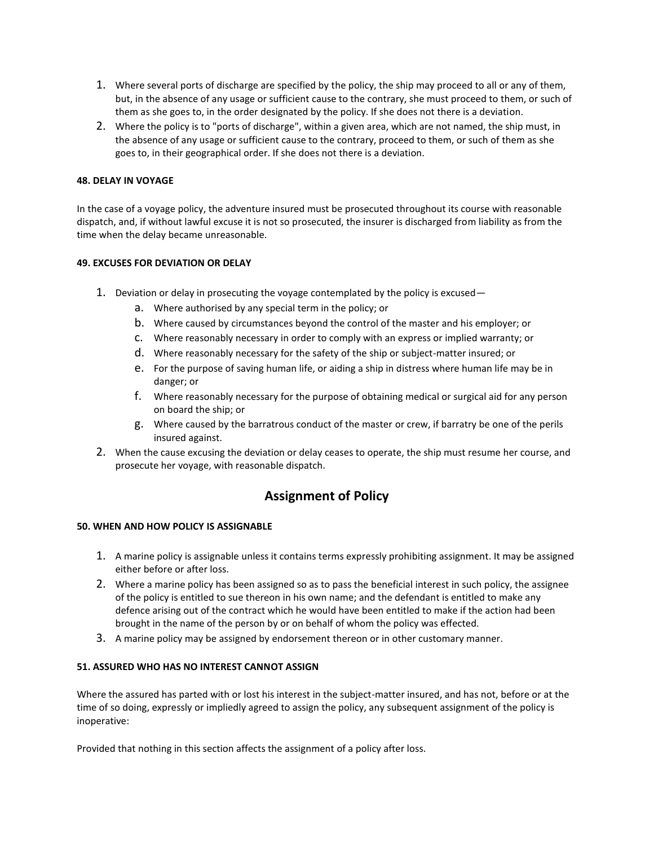- 1. Where several ports of discharge are specified by the policy, the ship may proceed to all or any of them, but, in the absence of any usage or sufficient cause to the contrary, she must proceed to them, or such of them as she goes to, in the order designated by the policy. If she does not there is a deviation.
- 2. Where the policy is to "ports of discharge", within a given area, which are not named, the ship must, in the absence of any usage or sufficient cause to the contrary, proceed to them, or such of them as she goes to, in their geographical order. If she does not there is a deviation.

#### **48. DELAY IN VOYAGE**

In the case of a voyage policy, the adventure insured must be prosecuted throughout its course with reasonable dispatch, and, if without lawful excuse it is not so prosecuted, the insurer is discharged from liability as from the time when the delay became unreasonable.

#### **49. EXCUSES FOR DEVIATION OR DELAY**

- 1. Deviation or delay in prosecuting the voyage contemplated by the policy is excused
	- a. Where authorised by any special term in the policy; or
	- b. Where caused by circumstances beyond the control of the master and his employer; or
	- c. Where reasonably necessary in order to comply with an express or implied warranty; or
	- d. Where reasonably necessary for the safety of the ship or subject-matter insured; or
	- e. For the purpose of saving human life, or aiding a ship in distress where human life may be in danger; or
	- f. Where reasonably necessary for the purpose of obtaining medical or surgical aid for any person on board the ship; or
	- g. Where caused by the barratrous conduct of the master or crew, if barratry be one of the perils insured against.
- 2. When the cause excusing the deviation or delay ceases to operate, the ship must resume her course, and prosecute her voyage, with reasonable dispatch.

## **Assignment of Policy**

#### **50. WHEN AND HOW POLICY IS ASSIGNABLE**

- 1. A marine policy is assignable unless it contains terms expressly prohibiting assignment. It may be assigned either before or after loss.
- 2. Where a marine policy has been assigned so as to pass the beneficial interest in such policy, the assignee of the policy is entitled to sue thereon in his own name; and the defendant is entitled to make any defence arising out of the contract which he would have been entitled to make if the action had been brought in the name of the person by or on behalf of whom the policy was effected.
- 3. A marine policy may be assigned by endorsement thereon or in other customary manner.

## **51. ASSURED WHO HAS NO INTEREST CANNOT ASSIGN**

Where the assured has parted with or lost his interest in the subject-matter insured, and has not, before or at the time of so doing, expressly or impliedly agreed to assign the policy, any subsequent assignment of the policy is inoperative:

Provided that nothing in this section affects the assignment of a policy after loss.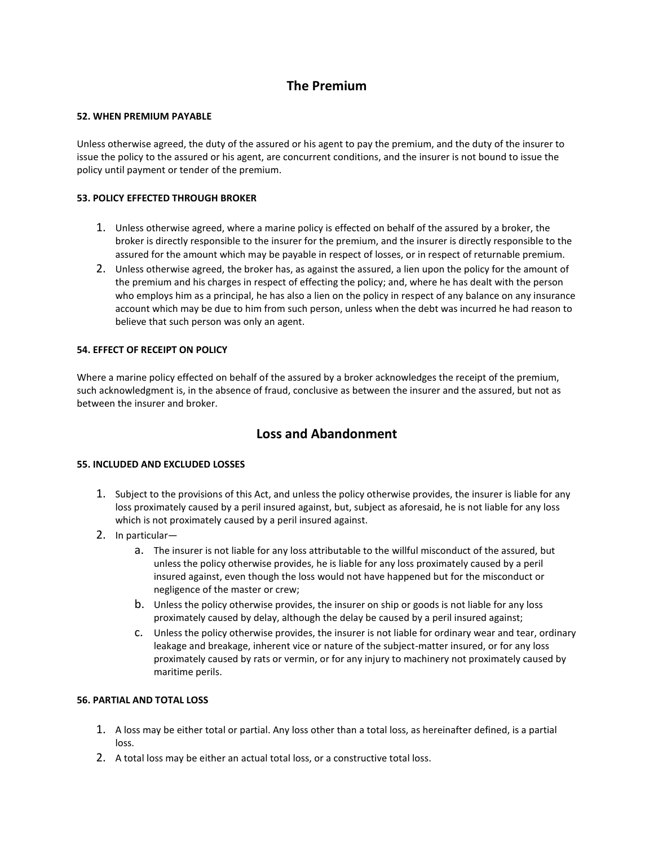# **The Premium**

#### **52. WHEN PREMIUM PAYABLE**

Unless otherwise agreed, the duty of the assured or his agent to pay the premium, and the duty of the insurer to issue the policy to the assured or his agent, are concurrent conditions, and the insurer is not bound to issue the policy until payment or tender of the premium.

#### **53. POLICY EFFECTED THROUGH BROKER**

- 1. Unless otherwise agreed, where a marine policy is effected on behalf of the assured by a broker, the broker is directly responsible to the insurer for the premium, and the insurer is directly responsible to the assured for the amount which may be payable in respect of losses, or in respect of returnable premium.
- 2. Unless otherwise agreed, the broker has, as against the assured, a lien upon the policy for the amount of the premium and his charges in respect of effecting the policy; and, where he has dealt with the person who employs him as a principal, he has also a lien on the policy in respect of any balance on any insurance account which may be due to him from such person, unless when the debt was incurred he had reason to believe that such person was only an agent.

## **54. EFFECT OF RECEIPT ON POLICY**

Where a marine policy effected on behalf of the assured by a broker acknowledges the receipt of the premium, such acknowledgment is, in the absence of fraud, conclusive as between the insurer and the assured, but not as between the insurer and broker.

## **Loss and Abandonment**

#### **55. INCLUDED AND EXCLUDED LOSSES**

- 1. Subject to the provisions of this Act, and unless the policy otherwise provides, the insurer is liable for any loss proximately caused by a peril insured against, but, subject as aforesaid, he is not liable for any loss which is not proximately caused by a peril insured against.
- 2. In particular
	- a. The insurer is not liable for any loss attributable to the willful misconduct of the assured, but unless the policy otherwise provides, he is liable for any loss proximately caused by a peril insured against, even though the loss would not have happened but for the misconduct or negligence of the master or crew;
	- b. Unless the policy otherwise provides, the insurer on ship or goods is not liable for any loss proximately caused by delay, although the delay be caused by a peril insured against;
	- c. Unless the policy otherwise provides, the insurer is not liable for ordinary wear and tear, ordinary leakage and breakage, inherent vice or nature of the subject-matter insured, or for any loss proximately caused by rats or vermin, or for any injury to machinery not proximately caused by maritime perils.

#### **56. PARTIAL AND TOTAL LOSS**

- 1. A loss may be either total or partial. Any loss other than a total loss, as hereinafter defined, is a partial loss.
- 2. A total loss may be either an actual total loss, or a constructive total loss.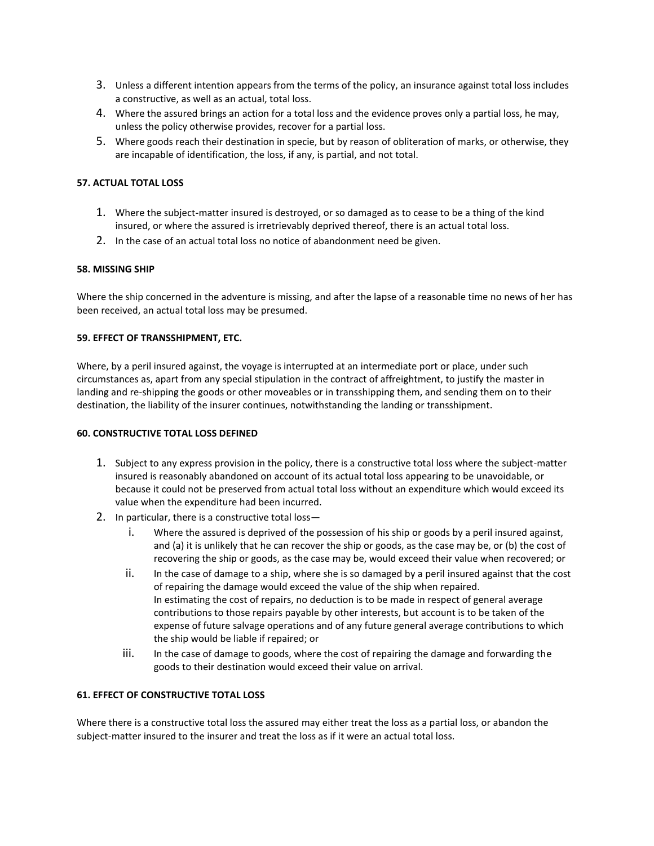- 3. Unless a different intention appears from the terms of the policy, an insurance against total loss includes a constructive, as well as an actual, total loss.
- 4. Where the assured brings an action for a total loss and the evidence proves only a partial loss, he may, unless the policy otherwise provides, recover for a partial loss.
- 5. Where goods reach their destination in specie, but by reason of obliteration of marks, or otherwise, they are incapable of identification, the loss, if any, is partial, and not total.

#### **57. ACTUAL TOTAL LOSS**

- 1. Where the subject-matter insured is destroyed, or so damaged as to cease to be a thing of the kind insured, or where the assured is irretrievably deprived thereof, there is an actual total loss.
- 2. In the case of an actual total loss no notice of abandonment need be given.

#### **58. MISSING SHIP**

Where the ship concerned in the adventure is missing, and after the lapse of a reasonable time no news of her has been received, an actual total loss may be presumed.

#### **59. EFFECT OF TRANSSHIPMENT, ETC.**

Where, by a peril insured against, the voyage is interrupted at an intermediate port or place, under such circumstances as, apart from any special stipulation in the contract of affreightment, to justify the master in landing and re-shipping the goods or other moveables or in transshipping them, and sending them on to their destination, the liability of the insurer continues, notwithstanding the landing or transshipment.

#### **60. CONSTRUCTIVE TOTAL LOSS DEFINED**

- 1. Subject to any express provision in the policy, there is a constructive total loss where the subject-matter insured is reasonably abandoned on account of its actual total loss appearing to be unavoidable, or because it could not be preserved from actual total loss without an expenditure which would exceed its value when the expenditure had been incurred.
- 2. In particular, there is a constructive total loss
	- i. Where the assured is deprived of the possession of his ship or goods by a peril insured against, and (a) it is unlikely that he can recover the ship or goods, as the case may be, or (b) the cost of recovering the ship or goods, as the case may be, would exceed their value when recovered; or
	- ii. In the case of damage to a ship, where she is so damaged by a peril insured against that the cost of repairing the damage would exceed the value of the ship when repaired. In estimating the cost of repairs, no deduction is to be made in respect of general average contributions to those repairs payable by other interests, but account is to be taken of the expense of future salvage operations and of any future general average contributions to which the ship would be liable if repaired; or
	- iii. In the case of damage to goods, where the cost of repairing the damage and forwarding the goods to their destination would exceed their value on arrival.

## **61. EFFECT OF CONSTRUCTIVE TOTAL LOSS**

Where there is a constructive total loss the assured may either treat the loss as a partial loss, or abandon the subject-matter insured to the insurer and treat the loss as if it were an actual total loss.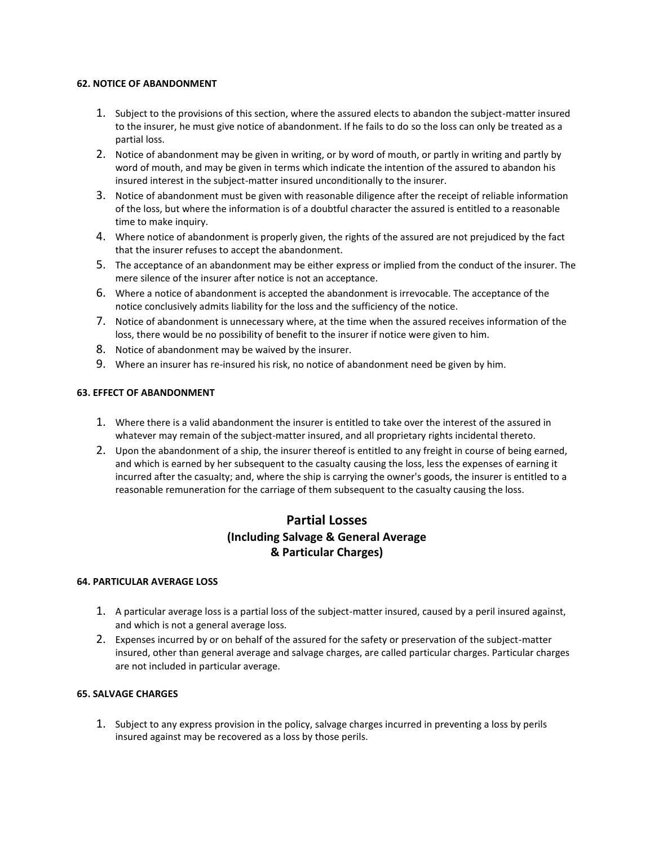## **62. NOTICE OF ABANDONMENT**

- 1. Subject to the provisions of this section, where the assured elects to abandon the subject-matter insured to the insurer, he must give notice of abandonment. If he fails to do so the loss can only be treated as a partial loss.
- 2. Notice of abandonment may be given in writing, or by word of mouth, or partly in writing and partly by word of mouth, and may be given in terms which indicate the intention of the assured to abandon his insured interest in the subject-matter insured unconditionally to the insurer.
- 3. Notice of abandonment must be given with reasonable diligence after the receipt of reliable information of the loss, but where the information is of a doubtful character the assured is entitled to a reasonable time to make inquiry.
- 4. Where notice of abandonment is properly given, the rights of the assured are not prejudiced by the fact that the insurer refuses to accept the abandonment.
- 5. The acceptance of an abandonment may be either express or implied from the conduct of the insurer. The mere silence of the insurer after notice is not an acceptance.
- 6. Where a notice of abandonment is accepted the abandonment is irrevocable. The acceptance of the notice conclusively admits liability for the loss and the sufficiency of the notice.
- 7. Notice of abandonment is unnecessary where, at the time when the assured receives information of the loss, there would be no possibility of benefit to the insurer if notice were given to him.
- 8. Notice of abandonment may be waived by the insurer.
- 9. Where an insurer has re-insured his risk, no notice of abandonment need be given by him.

## **63. EFFECT OF ABANDONMENT**

- 1. Where there is a valid abandonment the insurer is entitled to take over the interest of the assured in whatever may remain of the subject-matter insured, and all proprietary rights incidental thereto.
- 2. Upon the abandonment of a ship, the insurer thereof is entitled to any freight in course of being earned, and which is earned by her subsequent to the casualty causing the loss, less the expenses of earning it incurred after the casualty; and, where the ship is carrying the owner's goods, the insurer is entitled to a reasonable remuneration for the carriage of them subsequent to the casualty causing the loss.

# **Partial Losses (Including Salvage & General Average & Particular Charges)**

#### **64. PARTICULAR AVERAGE LOSS**

- 1. A particular average loss is a partial loss of the subject-matter insured, caused by a peril insured against, and which is not a general average loss.
- 2. Expenses incurred by or on behalf of the assured for the safety or preservation of the subject-matter insured, other than general average and salvage charges, are called particular charges. Particular charges are not included in particular average.

## **65. SALVAGE CHARGES**

1. Subject to any express provision in the policy, salvage charges incurred in preventing a loss by perils insured against may be recovered as a loss by those perils.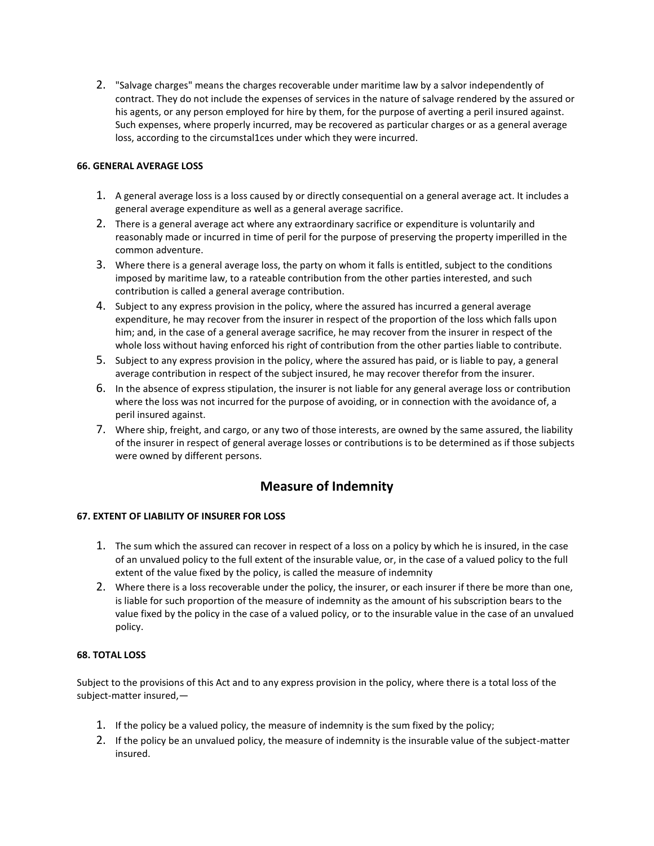2. "Salvage charges" means the charges recoverable under maritime law by a salvor independently of contract. They do not include the expenses of services in the nature of salvage rendered by the assured or his agents, or any person employed for hire by them, for the purpose of averting a peril insured against. Such expenses, where properly incurred, may be recovered as particular charges or as a general average loss, according to the circumstal1ces under which they were incurred.

## **66. GENERAL AVERAGE LOSS**

- 1. A general average loss is a loss caused by or directly consequential on a general average act. It includes a general average expenditure as well as a general average sacrifice.
- 2. There is a general average act where any extraordinary sacrifice or expenditure is voluntarily and reasonably made or incurred in time of peril for the purpose of preserving the property imperilled in the common adventure.
- 3. Where there is a general average loss, the party on whom it falls is entitled, subject to the conditions imposed by maritime law, to a rateable contribution from the other parties interested, and such contribution is called a general average contribution.
- 4. Subject to any express provision in the policy, where the assured has incurred a general average expenditure, he may recover from the insurer in respect of the proportion of the loss which falls upon him; and, in the case of a general average sacrifice, he may recover from the insurer in respect of the whole loss without having enforced his right of contribution from the other parties liable to contribute.
- 5. Subject to any express provision in the policy, where the assured has paid, or is liable to pay, a general average contribution in respect of the subject insured, he may recover therefor from the insurer.
- 6. In the absence of express stipulation, the insurer is not liable for any general average loss or contribution where the loss was not incurred for the purpose of avoiding, or in connection with the avoidance of, a peril insured against.
- 7. Where ship, freight, and cargo, or any two of those interests, are owned by the same assured, the liability of the insurer in respect of general average losses or contributions is to be determined as if those subjects were owned by different persons.

## **Measure of Indemnity**

## **67. EXTENT OF LIABILITY OF INSURER FOR LOSS**

- 1. The sum which the assured can recover in respect of a loss on a policy by which he is insured, in the case of an unvalued policy to the full extent of the insurable value, or, in the case of a valued policy to the full extent of the value fixed by the policy, is called the measure of indemnity
- 2. Where there is a loss recoverable under the policy, the insurer, or each insurer if there be more than one, is liable for such proportion of the measure of indemnity as the amount of his subscription bears to the value fixed by the policy in the case of a valued policy, or to the insurable value in the case of an unvalued policy.

## **68. TOTAL LOSS**

Subject to the provisions of this Act and to any express provision in the policy, where there is a total loss of the subject-matter insured,—

- 1. If the policy be a valued policy, the measure of indemnity is the sum fixed by the policy;
- 2. If the policy be an unvalued policy, the measure of indemnity is the insurable value of the subject-matter insured.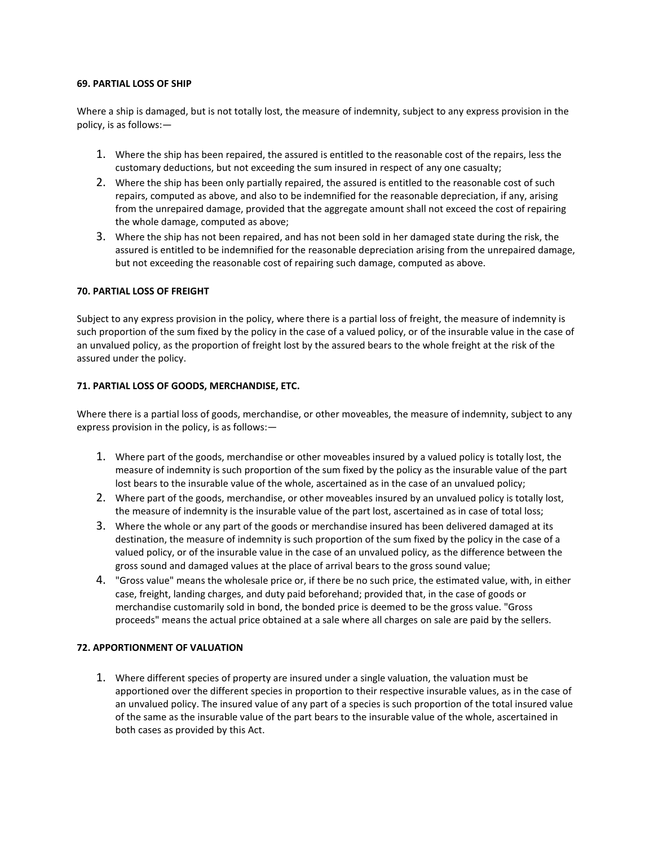#### **69. PARTIAL LOSS OF SHIP**

Where a ship is damaged, but is not totally lost, the measure of indemnity, subject to any express provision in the policy, is as follows:—

- 1. Where the ship has been repaired, the assured is entitled to the reasonable cost of the repairs, less the customary deductions, but not exceeding the sum insured in respect of any one casualty;
- 2. Where the ship has been only partially repaired, the assured is entitled to the reasonable cost of such repairs, computed as above, and also to be indemnified for the reasonable depreciation, if any, arising from the unrepaired damage, provided that the aggregate amount shall not exceed the cost of repairing the whole damage, computed as above;
- 3. Where the ship has not been repaired, and has not been sold in her damaged state during the risk, the assured is entitled to be indemnified for the reasonable depreciation arising from the unrepaired damage, but not exceeding the reasonable cost of repairing such damage, computed as above.

#### **70. PARTIAL LOSS OF FREIGHT**

Subject to any express provision in the policy, where there is a partial loss of freight, the measure of indemnity is such proportion of the sum fixed by the policy in the case of a valued policy, or of the insurable value in the case of an unvalued policy, as the proportion of freight lost by the assured bears to the whole freight at the risk of the assured under the policy.

#### **71. PARTIAL LOSS OF GOODS, MERCHANDISE, ETC.**

Where there is a partial loss of goods, merchandise, or other moveables, the measure of indemnity, subject to any express provision in the policy, is as follows:—

- 1. Where part of the goods, merchandise or other moveables insured by a valued policy is totally lost, the measure of indemnity is such proportion of the sum fixed by the policy as the insurable value of the part lost bears to the insurable value of the whole, ascertained as in the case of an unvalued policy;
- 2. Where part of the goods, merchandise, or other moveables insured by an unvalued policy is totally lost, the measure of indemnity is the insurable value of the part lost, ascertained as in case of total loss;
- 3. Where the whole or any part of the goods or merchandise insured has been delivered damaged at its destination, the measure of indemnity is such proportion of the sum fixed by the policy in the case of a valued policy, or of the insurable value in the case of an unvalued policy, as the difference between the gross sound and damaged values at the place of arrival bears to the gross sound value;
- 4. "Gross value" means the wholesale price or, if there be no such price, the estimated value, with, in either case, freight, landing charges, and duty paid beforehand; provided that, in the case of goods or merchandise customarily sold in bond, the bonded price is deemed to be the gross value. "Gross proceeds" means the actual price obtained at a sale where all charges on sale are paid by the sellers.

## **72. APPORTIONMENT OF VALUATION**

1. Where different species of property are insured under a single valuation, the valuation must be apportioned over the different species in proportion to their respective insurable values, as in the case of an unvalued policy. The insured value of any part of a species is such proportion of the total insured value of the same as the insurable value of the part bears to the insurable value of the whole, ascertained in both cases as provided by this Act.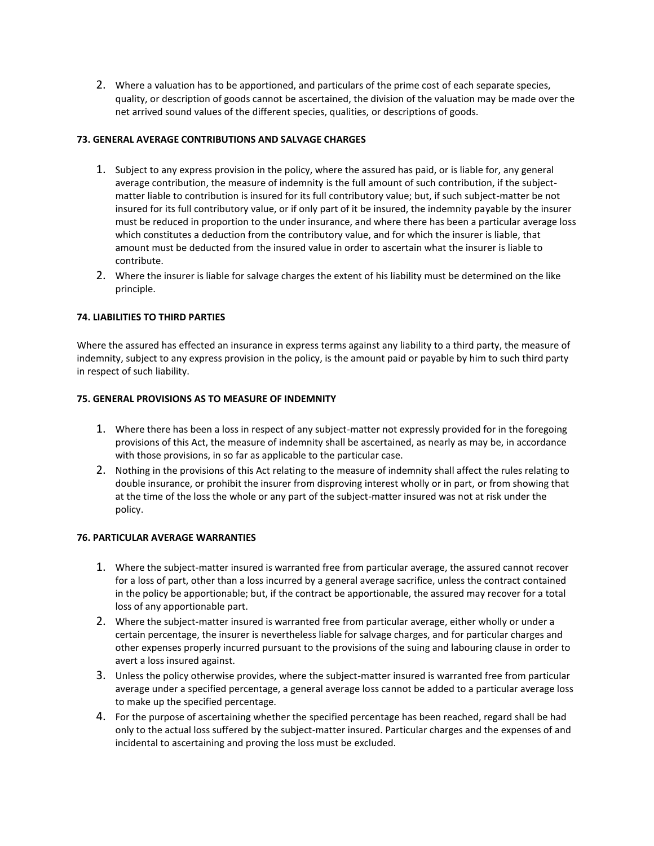2. Where a valuation has to be apportioned, and particulars of the prime cost of each separate species, quality, or description of goods cannot be ascertained, the division of the valuation may be made over the net arrived sound values of the different species, qualities, or descriptions of goods.

## **73. GENERAL AVERAGE CONTRIBUTIONS AND SALVAGE CHARGES**

- 1. Subject to any express provision in the policy, where the assured has paid, or is liable for, any general average contribution, the measure of indemnity is the full amount of such contribution, if the subjectmatter liable to contribution is insured for its full contributory value; but, if such subject-matter be not insured for its full contributory value, or if only part of it be insured, the indemnity payable by the insurer must be reduced in proportion to the under insurance, and where there has been a particular average loss which constitutes a deduction from the contributory value, and for which the insurer is liable, that amount must be deducted from the insured value in order to ascertain what the insurer is liable to contribute.
- 2. Where the insurer is liable for salvage charges the extent of his liability must be determined on the like principle.

## **74. LIABILITIES TO THIRD PARTIES**

Where the assured has effected an insurance in express terms against any liability to a third party, the measure of indemnity, subject to any express provision in the policy, is the amount paid or payable by him to such third party in respect of such liability.

## **75. GENERAL PROVISIONS AS TO MEASURE OF INDEMNITY**

- 1. Where there has been a loss in respect of any subject-matter not expressly provided for in the foregoing provisions of this Act, the measure of indemnity shall be ascertained, as nearly as may be, in accordance with those provisions, in so far as applicable to the particular case.
- 2. Nothing in the provisions of this Act relating to the measure of indemnity shall affect the rules relating to double insurance, or prohibit the insurer from disproving interest wholly or in part, or from showing that at the time of the loss the whole or any part of the subject-matter insured was not at risk under the policy.

## **76. PARTICULAR AVERAGE WARRANTIES**

- 1. Where the subject-matter insured is warranted free from particular average, the assured cannot recover for a loss of part, other than a loss incurred by a general average sacrifice, unless the contract contained in the policy be apportionable; but, if the contract be apportionable, the assured may recover for a total loss of any apportionable part.
- 2. Where the subject-matter insured is warranted free from particular average, either wholly or under a certain percentage, the insurer is nevertheless liable for salvage charges, and for particular charges and other expenses properly incurred pursuant to the provisions of the suing and labouring clause in order to avert a loss insured against.
- 3. Unless the policy otherwise provides, where the subject-matter insured is warranted free from particular average under a specified percentage, a general average loss cannot be added to a particular average loss to make up the specified percentage.
- 4. For the purpose of ascertaining whether the specified percentage has been reached, regard shall be had only to the actual loss suffered by the subject-matter insured. Particular charges and the expenses of and incidental to ascertaining and proving the loss must be excluded.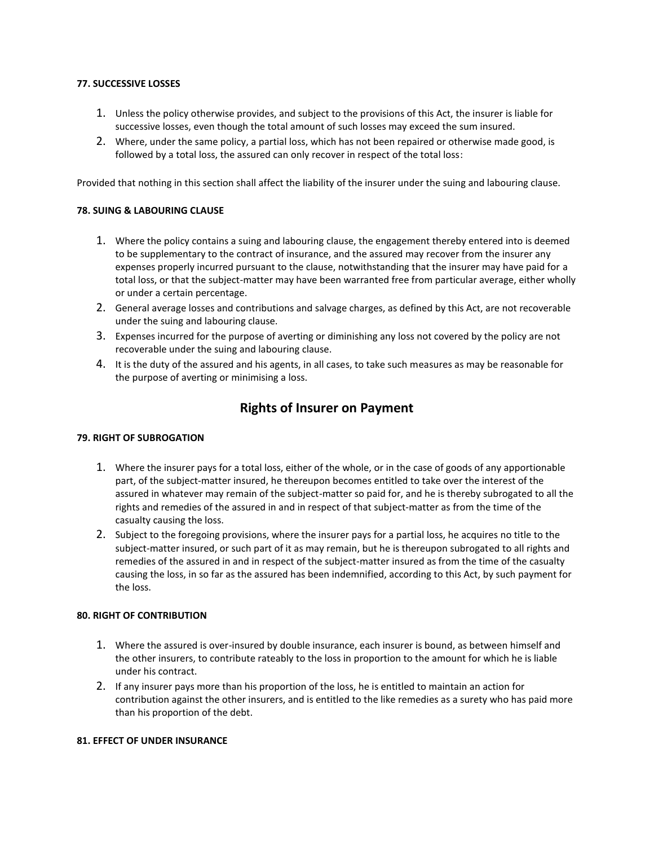#### **77. SUCCESSIVE LOSSES**

- 1. Unless the policy otherwise provides, and subject to the provisions of this Act, the insurer is liable for successive losses, even though the total amount of such losses may exceed the sum insured.
- 2. Where, under the same policy, a partial loss, which has not been repaired or otherwise made good, is followed by a total loss, the assured can only recover in respect of the total loss:

Provided that nothing in this section shall affect the liability of the insurer under the suing and labouring clause.

#### **78. SUING & LABOURING CLAUSE**

- 1. Where the policy contains a suing and labouring clause, the engagement thereby entered into is deemed to be supplementary to the contract of insurance, and the assured may recover from the insurer any expenses properly incurred pursuant to the clause, notwithstanding that the insurer may have paid for a total loss, or that the subject-matter may have been warranted free from particular average, either wholly or under a certain percentage.
- 2. General average losses and contributions and salvage charges, as defined by this Act, are not recoverable under the suing and labouring clause.
- 3. Expenses incurred for the purpose of averting or diminishing any loss not covered by the policy are not recoverable under the suing and labouring clause.
- 4. It is the duty of the assured and his agents, in all cases, to take such measures as may be reasonable for the purpose of averting or minimising a loss.

## **Rights of Insurer on Payment**

## **79. RIGHT OF SUBROGATION**

- 1. Where the insurer pays for a total loss, either of the whole, or in the case of goods of any apportionable part, of the subject-matter insured, he thereupon becomes entitled to take over the interest of the assured in whatever may remain of the subject-matter so paid for, and he is thereby subrogated to all the rights and remedies of the assured in and in respect of that subject-matter as from the time of the casualty causing the loss.
- 2. Subject to the foregoing provisions, where the insurer pays for a partial loss, he acquires no title to the subject-matter insured, or such part of it as may remain, but he is thereupon subrogated to all rights and remedies of the assured in and in respect of the subject-matter insured as from the time of the casualty causing the loss, in so far as the assured has been indemnified, according to this Act, by such payment for the loss.

#### **80. RIGHT OF CONTRIBUTION**

- 1. Where the assured is over-insured by double insurance, each insurer is bound, as between himself and the other insurers, to contribute rateably to the loss in proportion to the amount for which he is liable under his contract.
- 2. If any insurer pays more than his proportion of the loss, he is entitled to maintain an action for contribution against the other insurers, and is entitled to the like remedies as a surety who has paid more than his proportion of the debt.

#### **81. EFFECT OF UNDER INSURANCE**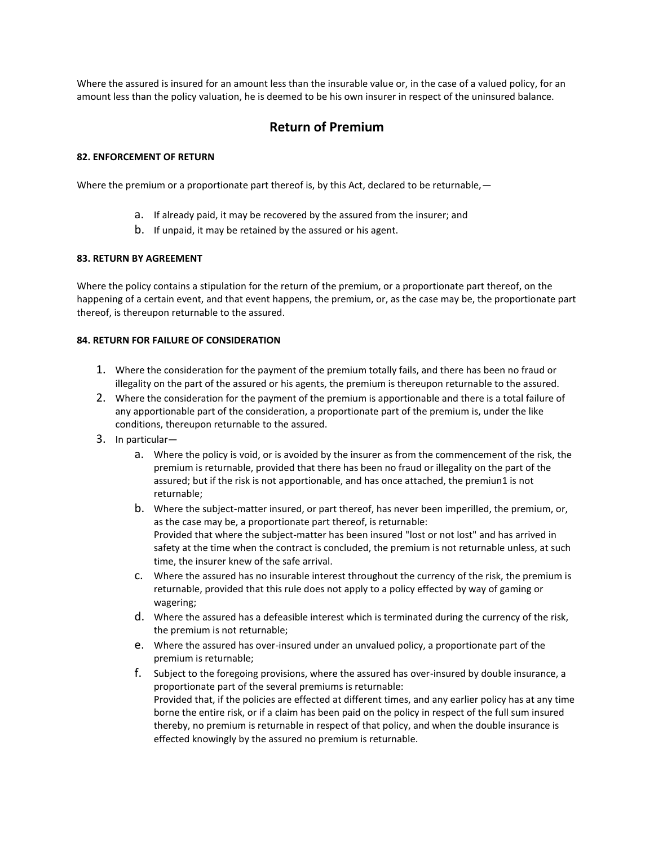Where the assured is insured for an amount less than the insurable value or, in the case of a valued policy, for an amount less than the policy valuation, he is deemed to be his own insurer in respect of the uninsured balance.

## **Return of Premium**

#### **82. ENFORCEMENT OF RETURN**

Where the premium or a proportionate part thereof is, by this Act, declared to be returnable, —

- a. If already paid, it may be recovered by the assured from the insurer; and
- b. If unpaid, it may be retained by the assured or his agent.

#### **83. RETURN BY AGREEMENT**

Where the policy contains a stipulation for the return of the premium, or a proportionate part thereof, on the happening of a certain event, and that event happens, the premium, or, as the case may be, the proportionate part thereof, is thereupon returnable to the assured.

#### **84. RETURN FOR FAILURE OF CONSIDERATION**

- 1. Where the consideration for the payment of the premium totally fails, and there has been no fraud or illegality on the part of the assured or his agents, the premium is thereupon returnable to the assured.
- 2. Where the consideration for the payment of the premium is apportionable and there is a total failure of any apportionable part of the consideration, a proportionate part of the premium is, under the like conditions, thereupon returnable to the assured.
- 3. In particular
	- a. Where the policy is void, or is avoided by the insurer as from the commencement of the risk, the premium is returnable, provided that there has been no fraud or illegality on the part of the assured; but if the risk is not apportionable, and has once attached, the premiun1 is not returnable;
	- b. Where the subject-matter insured, or part thereof, has never been imperilled, the premium, or, as the case may be, a proportionate part thereof, is returnable: Provided that where the subject-matter has been insured "lost or not lost" and has arrived in safety at the time when the contract is concluded, the premium is not returnable unless, at such time, the insurer knew of the safe arrival.
	- c. Where the assured has no insurable interest throughout the currency of the risk, the premium is returnable, provided that this rule does not apply to a policy effected by way of gaming or wagering;
	- d. Where the assured has a defeasible interest which is terminated during the currency of the risk, the premium is not returnable;
	- e. Where the assured has over-insured under an unvalued policy, a proportionate part of the premium is returnable;
	- f. Subject to the foregoing provisions, where the assured has over-insured by double insurance, a proportionate part of the several premiums is returnable: Provided that, if the policies are effected at different times, and any earlier policy has at any time borne the entire risk, or if a claim has been paid on the policy in respect of the full sum insured thereby, no premium is returnable in respect of that policy, and when the double insurance is effected knowingly by the assured no premium is returnable.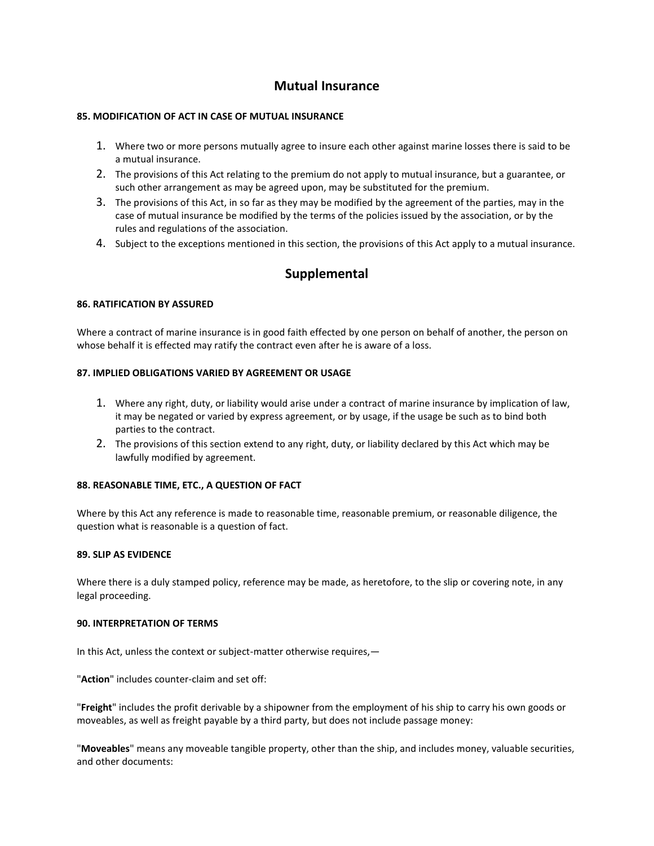## **Mutual Insurance**

#### **85. MODIFICATION OF ACT IN CASE OF MUTUAL INSURANCE**

- 1. Where two or more persons mutually agree to insure each other against marine losses there is said to be a mutual insurance.
- 2. The provisions of this Act relating to the premium do not apply to mutual insurance, but a guarantee, or such other arrangement as may be agreed upon, may be substituted for the premium.
- 3. The provisions of this Act, in so far as they may be modified by the agreement of the parties, may in the case of mutual insurance be modified by the terms of the policies issued by the association, or by the rules and regulations of the association.
- 4. Subject to the exceptions mentioned in this section, the provisions of this Act apply to a mutual insurance.

## **Supplemental**

#### **86. RATIFICATION BY ASSURED**

Where a contract of marine insurance is in good faith effected by one person on behalf of another, the person on whose behalf it is effected may ratify the contract even after he is aware of a loss.

#### **87. IMPLIED OBLIGATIONS VARIED BY AGREEMENT OR USAGE**

- 1. Where any right, duty, or liability would arise under a contract of marine insurance by implication of law, it may be negated or varied by express agreement, or by usage, if the usage be such as to bind both parties to the contract.
- 2. The provisions of this section extend to any right, duty, or liability declared by this Act which may be lawfully modified by agreement.

## **88. REASONABLE TIME, ETC., A QUESTION OF FACT**

Where by this Act any reference is made to reasonable time, reasonable premium, or reasonable diligence, the question what is reasonable is a question of fact.

#### **89. SLIP AS EVIDENCE**

Where there is a duly stamped policy, reference may be made, as heretofore, to the slip or covering note, in any legal proceeding.

#### **90. INTERPRETATION OF TERMS**

In this Act, unless the context or subject-matter otherwise requires,—

"**Action**" includes counter-claim and set off:

"**Freight**" includes the profit derivable by a shipowner from the employment of his ship to carry his own goods or moveables, as well as freight payable by a third party, but does not include passage money:

"**Moveables**" means any moveable tangible property, other than the ship, and includes money, valuable securities, and other documents: